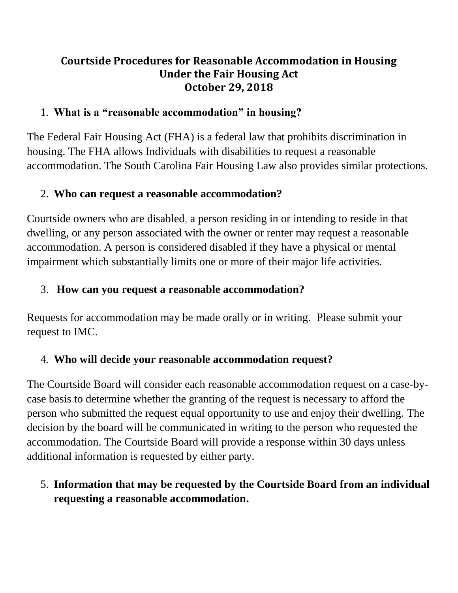### **Courtside Procedures for Reasonable Accommodation in Housing Under the Fair Housing Act October 29, 2018**

### 1. **What is a "reasonable accommodation" in housing?**

The Federal Fair Housing Act (FHA) is a federal law that prohibits discrimination in housing. The FHA allows Individuals with disabilities to request a reasonable accommodation. The South Carolina Fair Housing Law also provides similar protections.

## 2. **Who can request a reasonable accommodation?**

Courtside owners who are disabled, a person residing in or intending to reside in that dwelling, or any person associated with the owner or renter may request a reasonable accommodation. A person is considered disabled if they have a physical or mental impairment which substantially limits one or more of their major life activities.

# 3. **How can you request a reasonable accommodation?**

Requests for accommodation may be made orally or in writing. Please submit your request to IMC.

# 4. **Who will decide your reasonable accommodation request?**

The Courtside Board will consider each reasonable accommodation request on a case-bycase basis to determine whether the granting of the request is necessary to afford the person who submitted the request equal opportunity to use and enjoy their dwelling. The decision by the board will be communicated in writing to the person who requested the accommodation. The Courtside Board will provide a response within 30 days unless additional information is requested by either party.

# 5. **Information that may be requested by the Courtside Board from an individual requesting a reasonable accommodation.**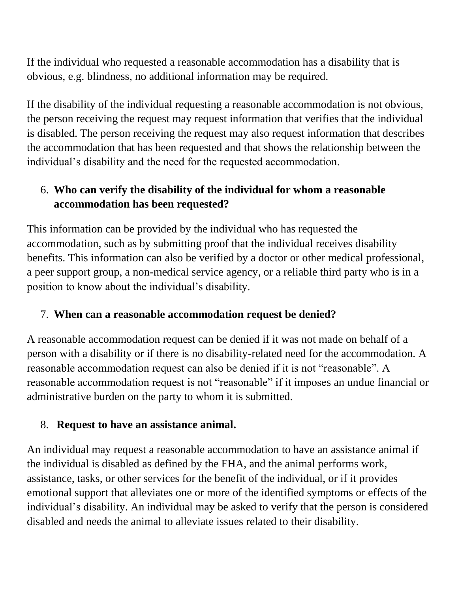If the individual who requested a reasonable accommodation has a disability that is obvious, e.g. blindness, no additional information may be required.

If the disability of the individual requesting a reasonable accommodation is not obvious, the person receiving the request may request information that verifies that the individual is disabled. The person receiving the request may also request information that describes the accommodation that has been requested and that shows the relationship between the individual's disability and the need for the requested accommodation.

## 6. **Who can verify the disability of the individual for whom a reasonable accommodation has been requested?**

This information can be provided by the individual who has requested the accommodation, such as by submitting proof that the individual receives disability benefits. This information can also be verified by a doctor or other medical professional, a peer support group, a non-medical service agency, or a reliable third party who is in a position to know about the individual's disability.

#### 7. **When can a reasonable accommodation request be denied?**

A reasonable accommodation request can be denied if it was not made on behalf of a person with a disability or if there is no disability-related need for the accommodation. A reasonable accommodation request can also be denied if it is not "reasonable". A reasonable accommodation request is not "reasonable" if it imposes an undue financial or administrative burden on the party to whom it is submitted.

#### 8. **Request to have an assistance animal.**

An individual may request a reasonable accommodation to have an assistance animal if the individual is disabled as defined by the FHA, and the animal performs work, assistance, tasks, or other services for the benefit of the individual, or if it provides emotional support that alleviates one or more of the identified symptoms or effects of the individual's disability. An individual may be asked to verify that the person is considered disabled and needs the animal to alleviate issues related to their disability.